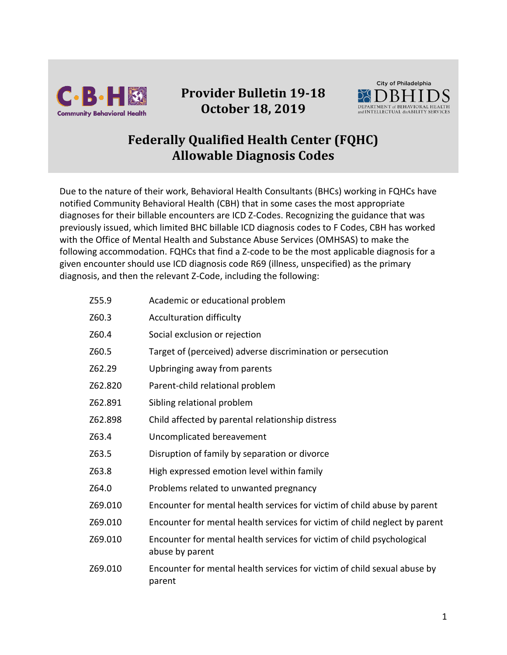

## **Provider Bulletin 19-18 October 18, 2019**



## **Federally Qualified Health Center (FQHC) Allowable Diagnosis Codes**

Due to the nature of their work, Behavioral Health Consultants (BHCs) working in FQHCs have notified Community Behavioral Health (CBH) that in some cases the most appropriate diagnoses for their billable encounters are ICD Z-Codes. Recognizing the guidance that was previously issued, which limited BHC billable ICD diagnosis codes to F Codes, CBH has worked with the Office of Mental Health and Substance Abuse Services (OMHSAS) to make the following accommodation. FQHCs that find a Z-code to be the most applicable diagnosis for a given encounter should use ICD diagnosis code R69 (illness, unspecified) as the primary diagnosis, and then the relevant Z-Code, including the following:

| Z55.9   | Academic or educational problem                                                           |
|---------|-------------------------------------------------------------------------------------------|
| Z60.3   | Acculturation difficulty                                                                  |
| Z60.4   | Social exclusion or rejection                                                             |
| Z60.5   | Target of (perceived) adverse discrimination or persecution                               |
| Z62.29  | Upbringing away from parents                                                              |
| Z62.820 | Parent-child relational problem                                                           |
| Z62.891 | Sibling relational problem                                                                |
| Z62.898 | Child affected by parental relationship distress                                          |
| Z63.4   | Uncomplicated bereavement                                                                 |
| Z63.5   | Disruption of family by separation or divorce                                             |
| Z63.8   | High expressed emotion level within family                                                |
| Z64.0   | Problems related to unwanted pregnancy                                                    |
| Z69.010 | Encounter for mental health services for victim of child abuse by parent                  |
| Z69.010 | Encounter for mental health services for victim of child neglect by parent                |
| Z69.010 | Encounter for mental health services for victim of child psychological<br>abuse by parent |
| Z69.010 | Encounter for mental health services for victim of child sexual abuse by<br>parent        |